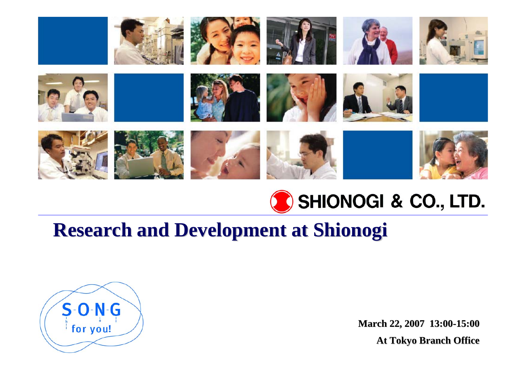



## **Research and Development Research and Development at Shionogi at Shionogi**



**March 22, 2007 22, 2007 13:00-15:00 At Tokyo Branch Office Tokyo Branch Office**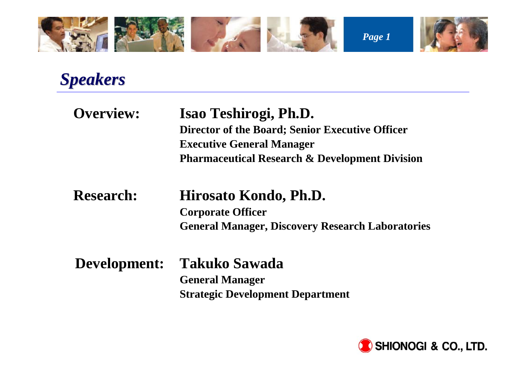

*Speakers Speakers*

| Overview:        | Isao Teshirogi, Ph.D.<br>Director of the Board; Senior Executive Officer<br><b>Executive General Manager</b><br><b>Pharmaceutical Research &amp; Development Division</b> |
|------------------|---------------------------------------------------------------------------------------------------------------------------------------------------------------------------|
| <b>Research:</b> | Hirosato Kondo, Ph.D.<br><b>Corporate Officer</b><br><b>General Manager, Discovery Research Laboratories</b>                                                              |
| Development:     | <b>Takuko Sawada</b><br><b>General Manager</b><br><b>Strategic Development Department</b>                                                                                 |

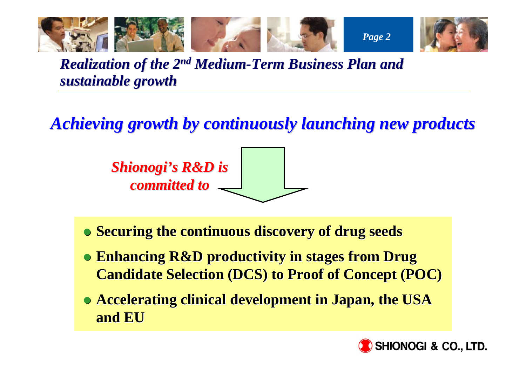

*Realization of the 2<sup>nd</sup> Medium-Term Business Plan and sustainable growth sustainable growth* 

*Achieving growth by continuously launching new products Achieving growth by continuously launching new products*



- **Securing the continuous discovery of drug seeds**
- **Enhancing R&D productivity in stages from Drug Candidate Selection (DCS) to Proof of Concept (POC)**
- **Accelerating clinical development in Japan, the USA and EU**

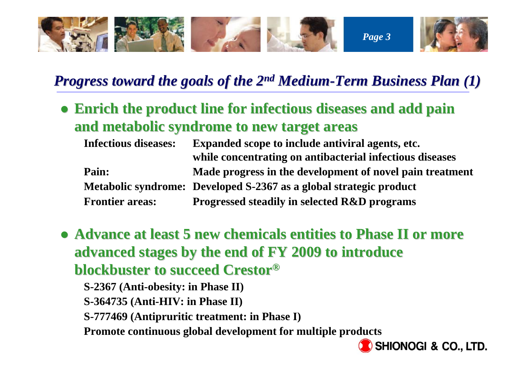

### *Progress toward the goals of the 2<sup>nd</sup> Medium-Term Business Plan (1)*

**• Enrich the product line for infectious diseases and add pain and metabolic syndrome to new target areas and metabolic syndrome to new target areas** 

| <b>Infectious diseases:</b> | <b>Expanded scope to include antiviral agents, etc.</b>            |
|-----------------------------|--------------------------------------------------------------------|
|                             | while concentrating on antibacterial infectious diseases           |
| Pain:                       | Made progress in the development of novel pain treatment           |
|                             | Metabolic syndrome: Developed S-2367 as a global strategic product |
| <b>Frontier areas:</b>      | <b>Progressed steadily in selected R&amp;D programs</b>            |

**• Advance at least 5 new chemicals entities to Phase II or more advanced stages by the end of FY 2009 to introduce blockbuster to succeed Crestor blockbuster to succeed Crestor®**

**S-2367 (Anti-obesity: in Phase II)**

**S-364735 (Anti-HIV: in Phase II)**

**S-777469 (Antipruritic treatment: in Phase I)**

**Promote continuous global development for multiple products**

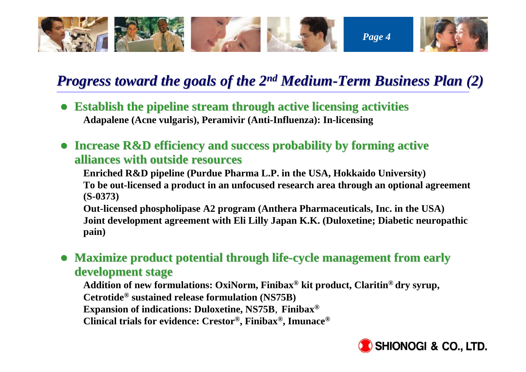

### *Progress toward the goals of the 2<sup>nd</sup> Medium-Term Business Plan (2)*

- **Establish the pipeline stream through active licensing activities Adapalene (Acne vulgaris), Peramivir (Anti-Influenza): In-licensing**
- **Increase R&D efficiency and success probability by forming active alliances with outside resources alliances with outside resources**

**Enriched R&D pipeline (Purdue Pharma L.P. in the USA, Hokkaido University) To be out-licensed a product in an unfocused research area through an optional agreement (S-0373)**

**Out-licensed phospholipase A2 program (Anthera Pharmaceuticals, Inc. in the USA) Joint development agreement with Eli Lilly Japan K.K. (Duloxetine; Diabetic neuropathic pain)**

**• Maximize product potential through life-cycle management from early development development stage**

**Addition of new formulations: OxiNorm, Finibax® kit product, Claritin® dry syrup, Cetrotide® sustained release formulation (NS75B)**

**Expansion of indications: Duloxetine, NS75B**,**Finibax®**

**Clinical trials for evidence: Crestor®, Finibax®, Imunace®**

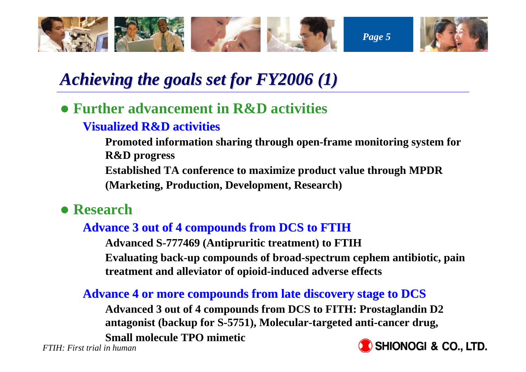

## *Achieving the goals set for FY2006 (1) Achieving the goals set for FY2006 (1)*

### z **Further advancement in R&D activities**

### **Visualized R&D activities Visualized R&D activities**

**Promoted information sharing through open-frame monitoring system for R&D progress Established TA conference to maximize product value through MPDR (Marketing, Production, Development, Research)**

**• Research** 

### **Advance 3 out of 4 compounds from DCS to FTIH Advance 3 out of 4 compounds from DCS to FTIH**

**Advanced S-777469 (Antipruritic treatment) to FTIH Evaluating back-up compounds of broad-spectrum cephem antibiotic, pain treatment and alleviator of opioid-induced adverse effects**

### Advance 4 or more compounds from late discovery stage to DCS

**Advanced 3 out of 4 compounds from DCS to FITH: Prostaglandin D2 antagonist (backup for S-5751), Molecular-targeted anti-cancer drug, Small molecule TPO mimetic**

*FTIH: First trial in human*

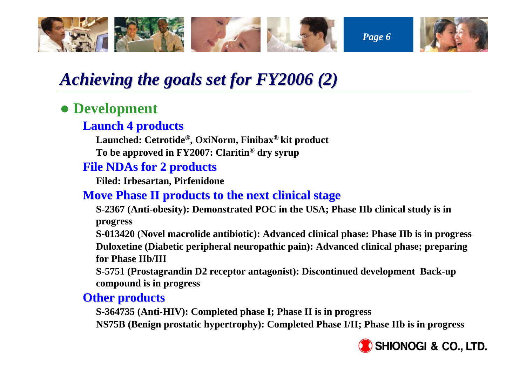

## *Achieving the goals set for FY2006 (2) Achieving the goals set for FY2006 (2)*

### **• Development**

#### **Launch 4 products Launch 4 products**

**Launched: Cetrotide®, OxiNorm, Finibax® kit product To be approved in FY2007: Claritin® dry syrup**

#### **File NDAs for 2 products File NDAs for 2 products**

**Filed: Irbesartan, Pirfenidone**

### **Move Phase II products to the next clinical stage**

**S-2367 (Anti-obesity): Demonstrated POC in the USA; Phase IIb clinical study is in progress**

**S-013420 (Novel macrolide antibiotic): Advanced clinical phase: Phase IIb is in progress Duloxetine (Diabetic peripheral neuropathic pain): Advanced clinical phase; preparing for Phase IIb/III**

**S-5751 (Prostagrandin D2 receptor antagonist): Discontinued development Back-up compound is in progress**

#### **Other products Other products**

**S-364735 (Anti-HIV): Completed phase I; Phase II is in progress NS75B (Benign prostatic hypertrophy): Completed Phase I/II; Phase IIb is in progress**

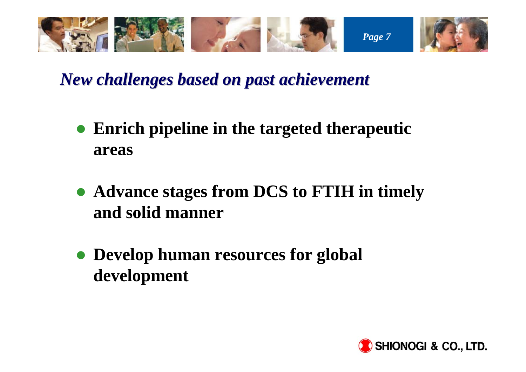

*New challenges based on past achievement New challenges based on past achievement*

- $\bullet$  **Enrich pipeline in the targeted therapeutic areas**
- z **Advance stages from DCS to FTIH in timely and solid manner**
- **Develop human resources for global development**

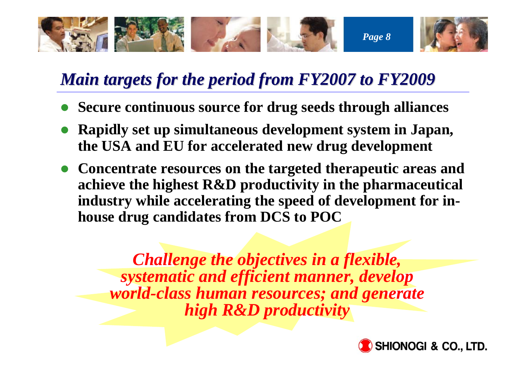

## *Main targets for the period from FY2007 to FY2009 Main targets for the period from FY2007 to FY2009*

- $\bullet$ **Secure continuous source for drug seeds through alliances**
- **Rapidly set up simultaneous development system in Japan, the USA and EU for accelerated new drug development**
- **Concentrate resources on the targeted therapeutic areas and achieve the highest R&D productivity in the pharmaceutical industry while accelerating the speed of development for inhouse drug candidates from DCS to POC**

*Challenge the objectives in a flexible, systematic and efficient manner, develop world-class human resources; and generate high R&D productivity*

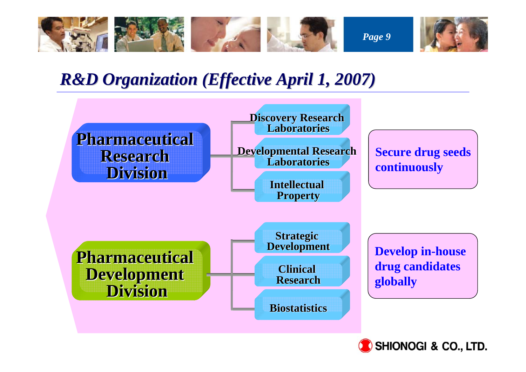

## *R&D Organization (Effective April 1, 2007)*



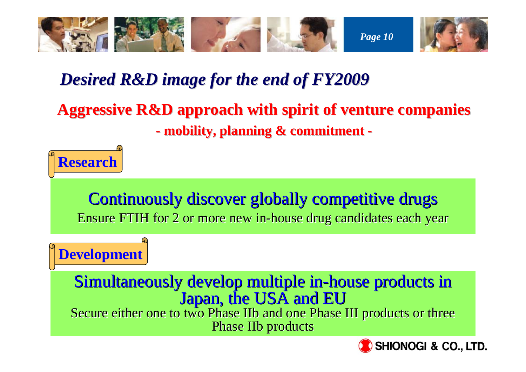

## *Desired R&D image for the end of FY2009 Desired R&D image for the end of FY2009*

### **Aggressive R&D approach with spirit of venture companies**

**mobility, planning & commitment mobility, planning & commitment -**



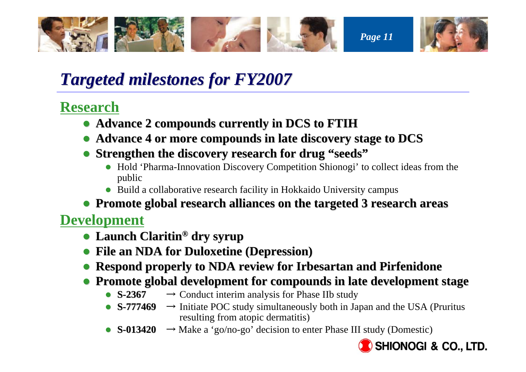

## *Targeted milestones for FY2007 Targeted milestones for FY2007*

### **Research**

- z **Advance 2 compounds currently in DCS to FTIH Advance 2 compounds currently in DCS to FTIH**
- z **Advance 4 or more compounds in late discovery stage to DCS Advance 4 or more compounds in late discovery stage to DCS**
- **Strengthen the discovery research for drug "seeds"** 
	- Hold 'Pharma-Innovation Discovery Competition Shionogi' to collect ideas from the public
	- Build a collaborative research facility in Hokkaido University campus
- **Promote global research alliances on the targeted 3 research areas**

### **Development**

- **Launch Claritin<sup>®</sup> dry syrup**
- z **File an NDA for Duloxetine (Depression) File an NDA for Duloxetine (Depression)**
- **Respond properly to NDA review for Irbesartan and Pirfenidone**
- **Promote global development for compounds in late development stage** 
	- $\bullet$  S-2367  $\rightarrow$  Conduct interim analysis for Phase IIb study
	- **S-777469** → Initiate POC study simultaneously both in Japan and the USA (Pruritus resulting from atopic dermatitis)
	- $S-013420 \rightarrow Make a 'go/no-go' decision to enter Phase III study (Domestic)$

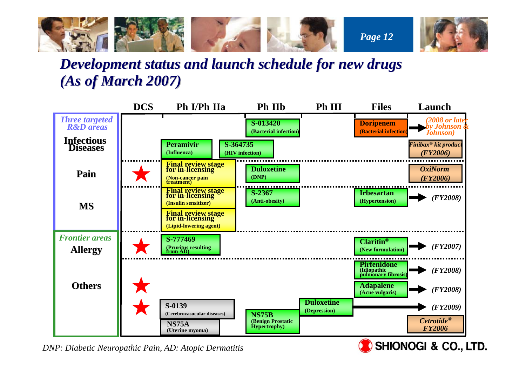

### *Development status and launch schedule for new drugs Development status and launch schedule for new drugs (As of March 2007) As of March 2007)*



*DNP: Diabetic Neuropathic Pain, AD: Atopic Dermatitis*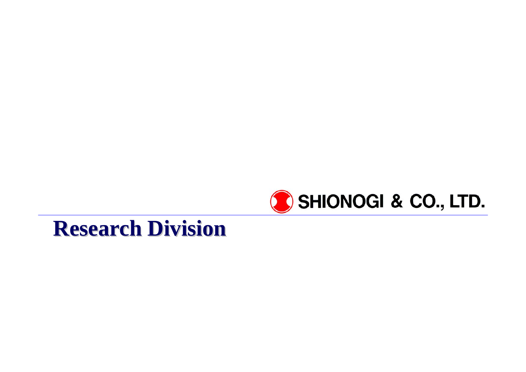

## **Research Division Research Division**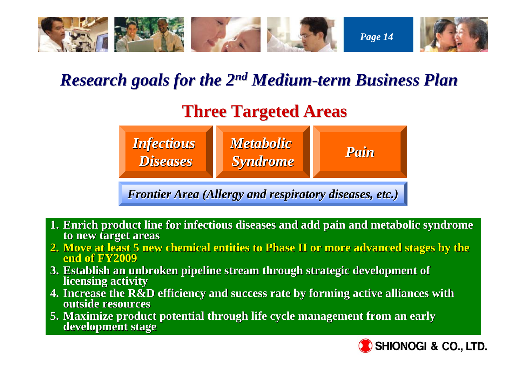

### *Research goals for the 2 Research goals for the 2n<sup>d</sup> Medium-term Business Plan term Business Plan*

## **Three Targeted Areas Three Targeted Areas**



*Frontier Area (Allergy and respiratory diseases, etc.) Frontier Area (Allergy and respiratory diseases, etc.)*

- **1. Enrich product line for infectious diseases and add pain and metabolic syndrome to new target areas to new target areas**
- **2. Move at least 5 new chemical entities to Phase II or more advanced stages by the end of FY2009 end of FY2009**
- **3.** Establish an unbroken pipeline stream through strategic development of licensing activity
- **4. Increase the R&D efficiency and su Increase the R&D efficiency and success rate by forming active a ccess rate by forming active alliances with lliances with outside resourcesoutside resources**
- **5. Maximize product potential through life cycle management from an early development stage**

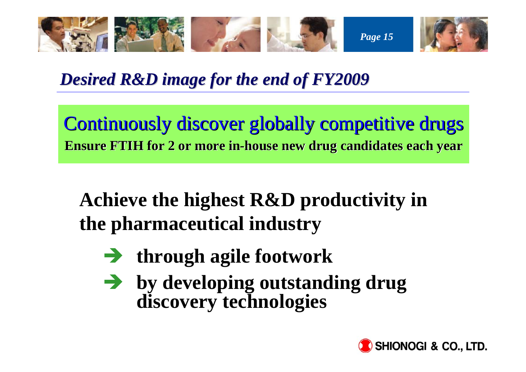

*Desired R&D image for the end of FY2009 Desired R&D image for the end of FY2009*

Continuously discover globally competitive drugs **Ensure FTIH for 2 or more in Ensure FTIH for 2 or more in-house new drug candidates each year house new drug candidates each year**

## **Achieve the highest R&D productivity in the pharmaceutical industry**

- $\rightarrow$  through agile footwork
- **By developing outstanding drug discovery technologies**

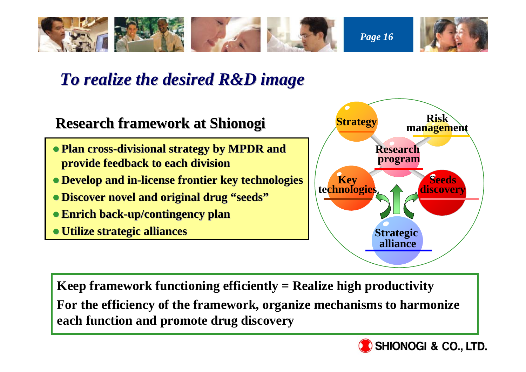

## *To realize the desired R&D image To realize the desired R&D image*



**Keep framework functioning efficiently = Realize high productivity For the efficiency of the framework, organize mechanisms to harmonize each function and promote drug discovery**

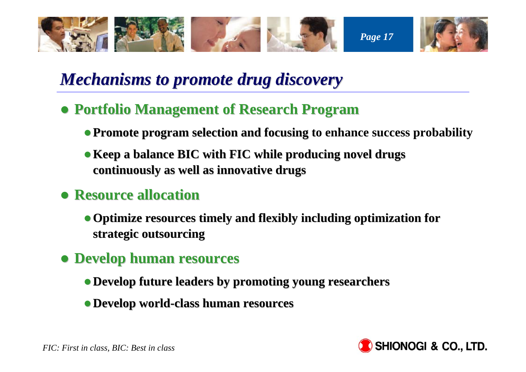

## *Mechanisms to promote drug discovery Mechanisms to promote drug discovery*

- **Portfolio Management of Research Program** 
	- **Promote program selection and focusing to enhance success probability**
	- <sup>z</sup>**Keep a balance BIC with FIC Keep a balance BIC with FIC while producing novel drugs producing novel drugs continuously as well as innovative drugs continuously as well as innovative drugs**

### z **Resource allocation Resource allocation**

- **Optimize resources timely and flexibly including optimization for strategic outsourcing strategic outsourcing**
- z **Develop human resources Develop human resources**
	- <sup>z</sup>**Develop future leaders by promoting young researchers Develop future leaders by promoting young researchers**
	- <sup>z</sup>**Develop world Develop world-class human resources class human resources**

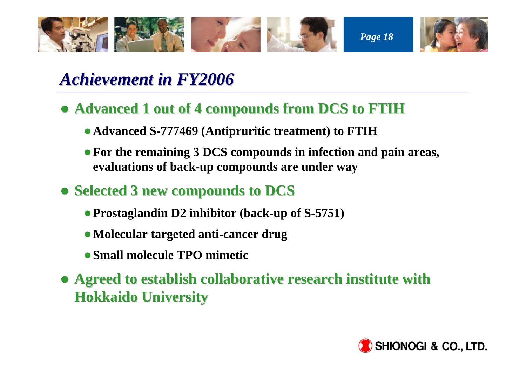

## *Achievement in FY2006 Achievement in FY2006*

- **Advanced 1 out of 4 compounds from DCS to FTIH** 
	- z **Advanced S-777469 (Antipruritic treatment) to FTIH**
	- For the remaining 3 DCS compounds in infection and pain areas, **evaluations of back-up compounds are under way**
- z **Selected 3 new compounds to DCS Selected 3 new compounds to DCS**
	- **Prostaglandin D2 inhibitor (back-up of S-5751)**
	- **Molecular targeted anti-cancer drug**
	- **Small molecule TPO mimetic**
- **Agreed to establish collaborative research institute with Hokkaido University Hokkaido University**

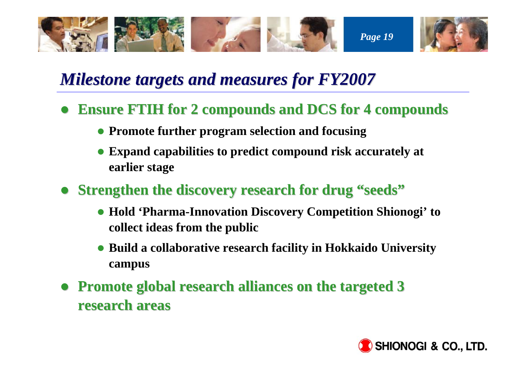

## *Milestone targets and measures for FY2007*

- $\bullet$ **Ensure FTIH for 2 compounds and DCS for 4 compounds** 
	- **Promote further program selection and focusing**
	- Expand capabilities to predict compound risk accurately at **earlier stage**
- $\bullet$ **Strengthen the discovery research for drug "seeds"** 
	- z **Hold 'Pharma-Innovation Discovery Competition Shionogi' to collect ideas from the public**
	- **Build a collaborative research facility in Hokkaido University campus**
- $\bullet$ **Promote global research alliances on the targeted 3 research areas research areas**

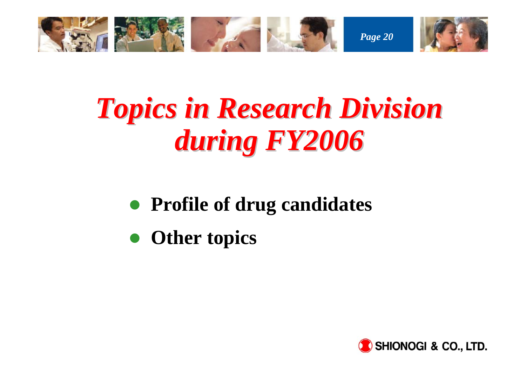

# *Topics in Research Division Topics in Research Division during FY2006 during FY2006*

- $\bullet$ **Profile of drug candidates**
- $\bullet$ **Other topics**

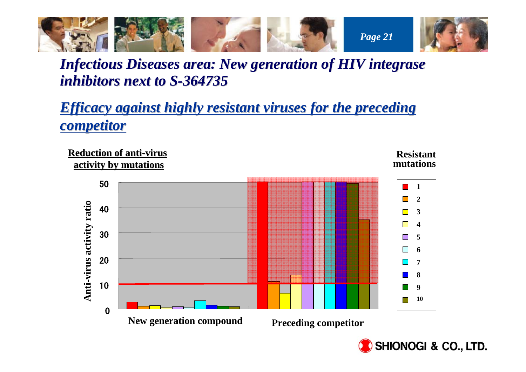

### *Infectious Diseases area: New generation of HIV integrase inhibitors next to S-364735*

*Efficacy against highly resistant viruses for the preceding competitor competitor*



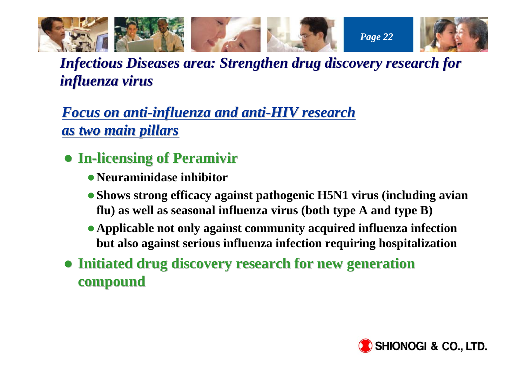

*Infectious Diseases area: Strengthen drug discovery research for Infectious Diseases area: Strengthen drug discovery research for influenza virus influenza virus*

*Focus on anti Focus on anti-influenza and anti influenza and anti-HIV research HIV research as two main pillars as two main pillars*

- z **In-licensing of Peramivir licensing of Peramivir**
	- **Neuraminidase inhibitor**
	- **Shows strong efficacy against pathogenic H5N1 virus (including avian flu) as well as seasonal influenza virus (both type A and type B)**
	- **Applicable not only against community acquired influenza infection but also against serious influenza infection requiring hospitalization**
- **Initiated drug discovery research for new generation compound compound**

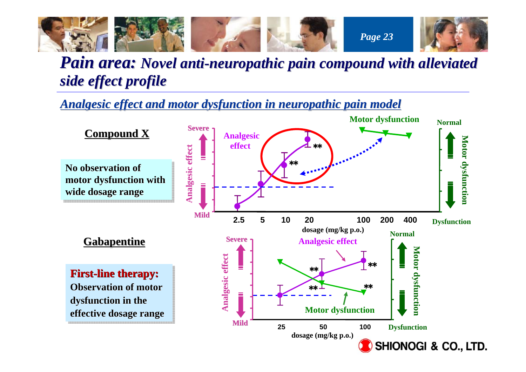

### *Pain area: Novel anti-neuropathic pain compound with alleviated side effect profile side effect profile*

*Analgesic effect and motor dysfunc Analgesic effect and motor dysfunction in neuropathic pain model tion in neuropathic pain model*

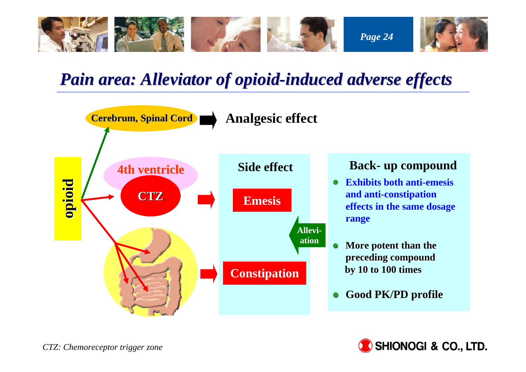

## *Pain area: Alleviator of opioid Pain area: Alleviator of opioid-induced adverse effects induced adverse effects*



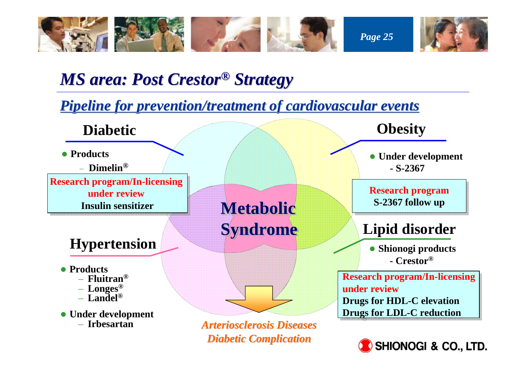

## *MS area: Post Crestor MS area: Post Crestor® Strategy Strategy*

### *Pipeline for prevention/treatment of cardiovascular events*



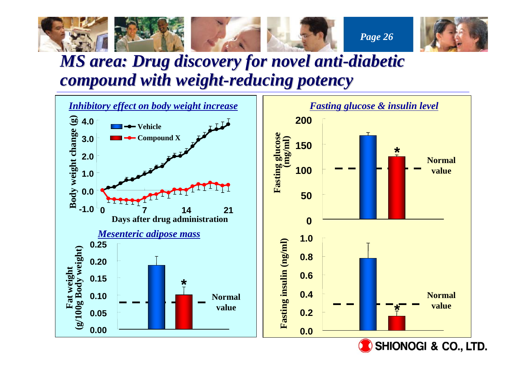

### *MS area: Drug discovery for novel anti area: Drug discovery for novel anti-diabetic diabetic compound with weight compound with weight-reducing potency reducing potency*

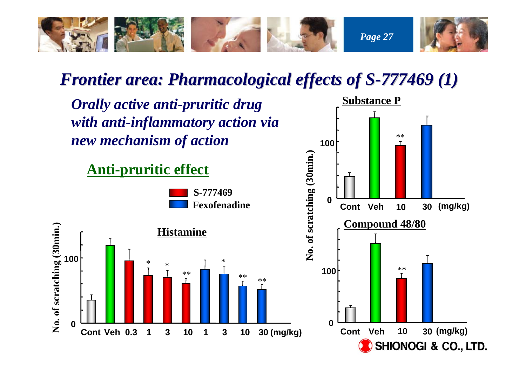

## *Frontier area: Pharmacological effects of S-777469 (1)*

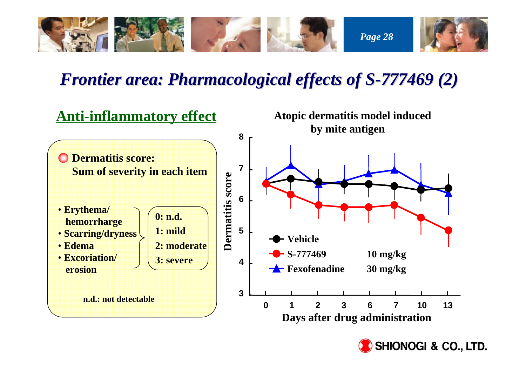

## *Frontier area: Pharmacological effects of S-777469 (2)*



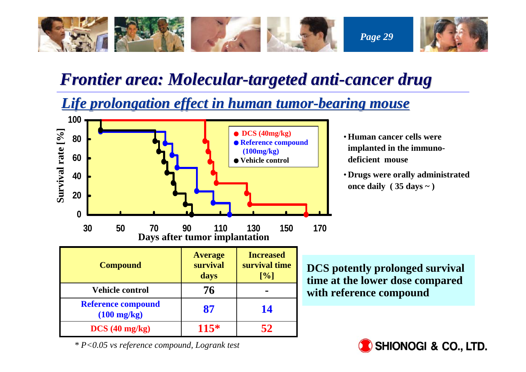

### *Frontier area: Molecular Frontier area: Molecular-targeted anti targeted anti-cancer drug cancer drug*

*Life prolongation effect in human tumor Life prolongation effect in human tumor-bearing mouse bearing mouse*



- •**Human cancer cells were implanted in the immunodeficient mouse**
- **Drugs were orally administrated once daily ( 35 days ~ )**

**DCS potently prolonged survival time at the lower dose compared with reference compound**



*\* P<0.05 vs reference compound, Logrank test*

**Reference compound**<br> **87** 14

**DCS (40 mg/kg) 115\* 52**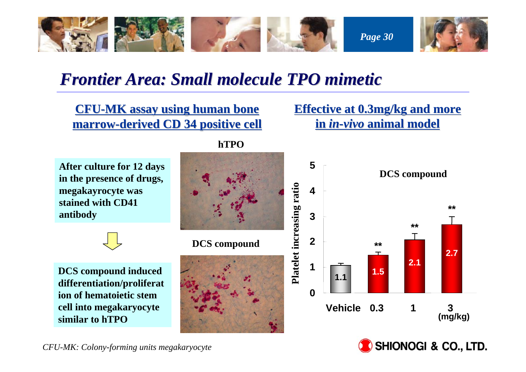

### *Frontier Area: Small molecule TPO mimetic Frontier Area: Small molecule TPO mimetic*

**CFU-MK assay using human bone marrow-derived CD 34 positive cell derived CD 34 positive cell** **Effective at 0.3mg/kg and more in** *in-vivo* **animal model animal model**

**After culture for 12 days in the presence of drugs, megakayrocyte was stained with CD41 antibody**

**DCS compound induced differentiation/proliferat ion of hematoietic stem cell into megakaryocyte similar to hTPO** 

**hTPO**



**DCS compound**





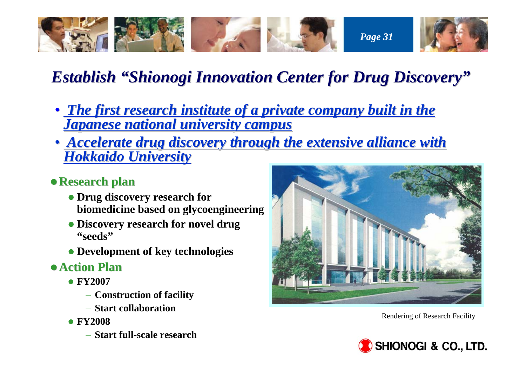

## **Establish "Shionogi Innovation Center for Drug Discovery"**

- The first research institute of a private company built in the *Japanese national university campus Japanese national university campus*
- <u>Accelerate drug discovery through the extensive alliance with</u> *Hokkaido University Hokkaido University*
- <sup>z</sup>**Research plan Research plan**
	- **Drug discovery research for biomedicine based on glycoengineering**
	- **Discovery research for novel drug "seeds"**
	- **Development of key technologies**
- z**Action Plan Action Plan**
	- z **FY2007**
		- **Construction of facility**
		- **Start collaboration**
	- z **FY2008**
		- **Start full-scale research**



Rendering of Research Facility

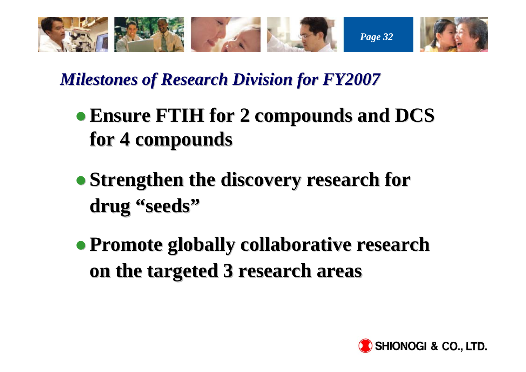

*Milestones of Research Division for FY2007 Milestones of Research Division for FY2007*

- **Ensure FTIH for 2 compounds and DCS for 4 compounds for 4 compounds**
- **Strengthen the discovery research for drug "seeds"**
- z **Promote globally collaborative research Promote globally collaborative research on the targeted 3 research areas on the targeted 3 research areas**

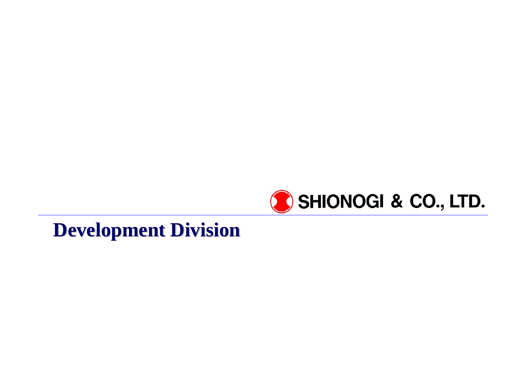

## **Development Division Development Division**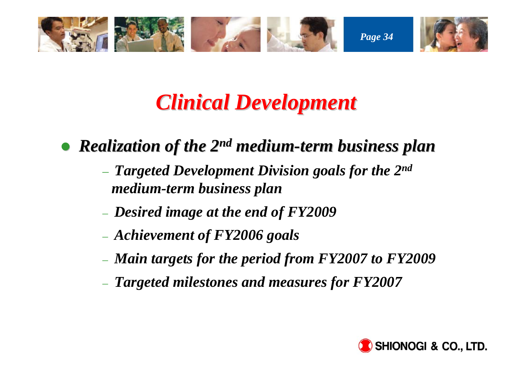

## *Clinical Development Clinical Development*

 $\bullet$ *Realization of the 2 Realization of the 2n<sup>d</sup> medium-term business plan term business plan*

- *Targeted Development Division goals for the 2nd medium-term business plan*
- *Desired image at the end of FY2009*
- *Achievement of FY2006 goals*
- *Main targets for the period from FY2007 to FY2009*
- *Targeted milestones and measures for FY2007*

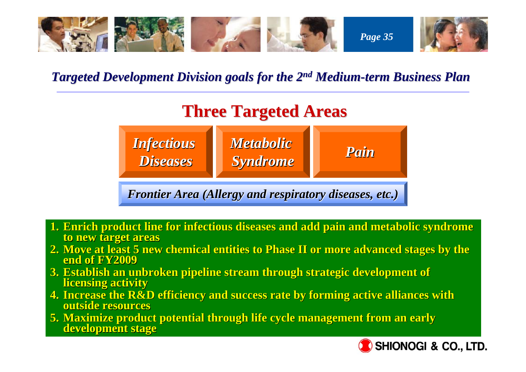

### *Targeted Development Division goals for the 2 Targeted Development Division goals for the 2n<sup>d</sup> Medium-term Business Plan term Business Plan*

## **Three Targeted Areas Three Targeted Areas**



*Frontier Area (Allergy and respiratory diseases, etc.) Frontier Area (Allergy and respiratory diseases, etc.)*

- **1. Enrich product line for infectious diseases and add pain and metabolic syndrome to new target areas to new target areas**
- **2. Move at least 5 new chemical entities to Phase II or more advanced stages by the end of FY2009 end of FY2009**
- **3. Establish an unbroken pipeline stream through strategic development of licensing activity**
- **4. Increase the R&D efficiency and su Increase the R&D efficiency and success rate by forming active a ccess rate by forming active alliances with lliances with outside resourcesoutside resources**
- **5. Maximize product potential through life cycle management from an early development stage**

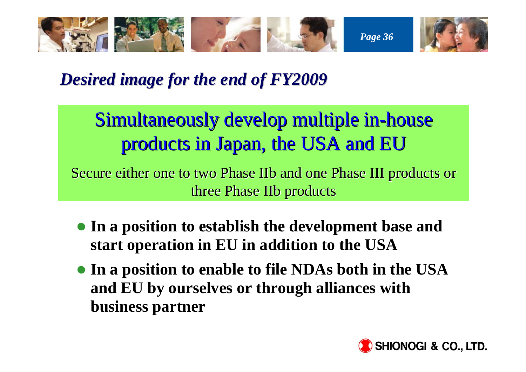

### *Desired Desired image for the end of FY2009 image for the end of FY2009*

## Simultaneously develop multiple in-house products in Japan, the USA and EU products in Japan, the USA and EU

Secure either one to two Phase IIb and one Phase III products or three Phase IIb products

- **In a position to establish the development base and start operation in EU in addition to the USA**
- **In a position to enable to file NDAs both in the USA and EU by ourselves or through alliances with business partner**

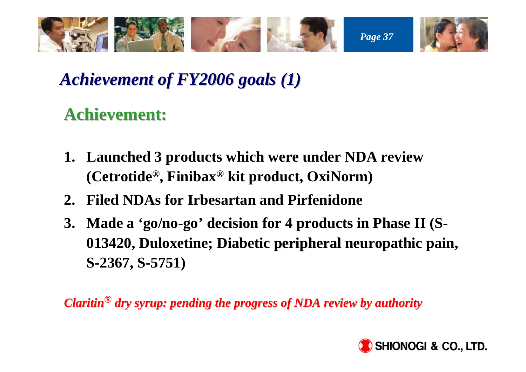

## *Achievement of FY2006 goals (1) Achievement of FY2006 goals (1)*

## **Achievement: Achievement:**

- **1. Launched 3 products which were under NDA review (Cetrotide®, Finibax® kit product, OxiNorm)**
- **2. Filed NDAs for Irbesartan and Pirfenidone**
- **3. Made a 'go/no-go' decision for 4 products in Phase II (S-013420, Duloxetine; Diabetic peripheral neuropathic pain, peripheral S-2367, S-5751)**

*Claritin Claritin***®** *dry syrup: pending the progress of NDA review by authority dry syrup: pending the progress of NDA review by authority*

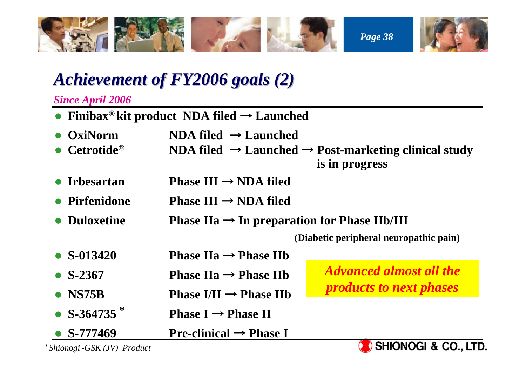

### *Achievement of FY2006 goals (2) Achievement of FY2006 goals (2)*

*Since April 2006*

- z **Finibax® kit product NDA filed** <sup>→</sup> **Launched**
- O **OxiNorm NDA filed** <sup>→</sup> **Launched**
- O **Cetrotide® NDA filed** <sup>→</sup> **Launched** <sup>→</sup> **Post-marketing clinical study is in progress**
- O **Irbesartan Phase III** <sup>→</sup> **NDA filed**
- O **Pirfenidone Phase III**  $\rightarrow$  **NDA filed**
- Duloxetine **Duloxetine Phase IIa** <sup>→</sup> **In preparation for Phase IIb/III**

**(Diabetic peripheral neuropathic pain)**

- $\bullet$  S-013420 **S-013420 Phase IIa** <sup>→</sup> **Phase IIb**
- $\bullet$  S-2367 **S-2367 Phase IIa** <sup>→</sup> **Phase IIb**
- $\bullet$  NS75B **NS75B Phase I/II** <sup>→</sup> **Phase IIb**
- z **S-364735 \* Phase I** <sup>→</sup>**Phase I**  $\rightarrow$  **Phase II**
- O **S-777469 Pre-clinical** <sup>→</sup> **Phase I**

*Advanced almost all the products to next phases*



*\* Shionogi*‐*GSK (JV) Product*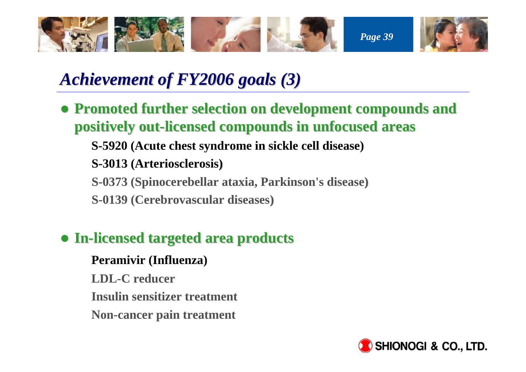

### *Achievement of FY2006 goals (3) Achievement of FY2006 goals (3)*

**• Promoted further selection on development compounds and positively out-licensed compounds in unfocused areas** 

**S-5920 (Acute chest syndrome in sickle cell disease)**

**S-3013 (Arteriosclerosis)**

**S-0373 (Spinocerebellar ataxia, Parkinson's disease)**

**S-0139 (Cerebrovascular diseases)**

#### z **In-licensed targeted area products licensed targeted area products**

**Peramivir (Influenza) LDL-C reducerInsulin sensitizer treatmentNon-cancer pain treatment**

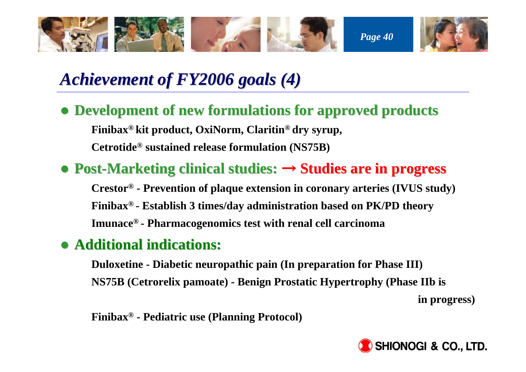

## *Achievement Achievement of FY2006 goals (4) of FY2006 goals (4)*

**• Development of new formulations for approved products Finibax® kit product, OxiNorm, Claritin® dry syrup, Cetrotide® sustained release formulation (NS75B)**

#### **• Post-Marketing clinical studies: → Studies are in progress**

**Crestor® - Prevention of plaque extension in coronary arteries (IVUS study) Finibax® - Establish 3 times/day administration based on PK/PD theory Imunace® - Pharmacogenomics test with renal cell carcinoma**

#### z **Additional indications: Additional indications:**

**Duloxetine - Diabetic neuropathic pain (In preparation for Phase III) NS75B (Cetrorelix pamoate) - Benign Prostatic Hypertrophy (Phase IIb is** 

**in progress)**

**Finibax® - Pediatric use (Planning Protocol)**

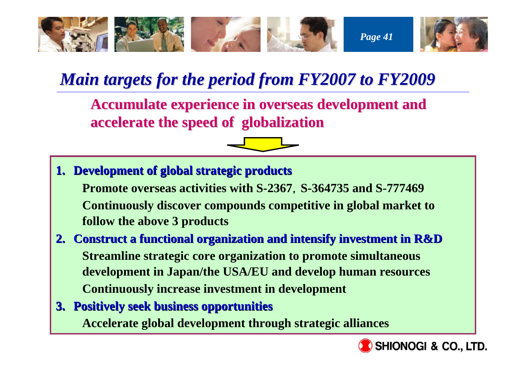

### *Main targets for the period from FY Main targets for the period from FY2007 to FY2009*

**Accumulate experience in overseas Accumulate experience in overseas development and development and accelerate the speed of globalization accelerate the speed of globalization** 



- **1. Development of global strategic products Development of global strategic products Promote overseas activities with S-2367**,**S-364735 and S-777469 Continuously discover compounds competitive in global market to follow the above 3 products**
- **2. Construct a functional organization and intensify investment in Construct a functional organization and intensify investment in R&D Streamline strategic core organization to promote simultaneous development in Japan/the USA/EU and develop human resources Continuously increase investment in development**
- **3. Positively seek business opportunities Positively seek business opportunities Accelerate global development through strategic alliances**

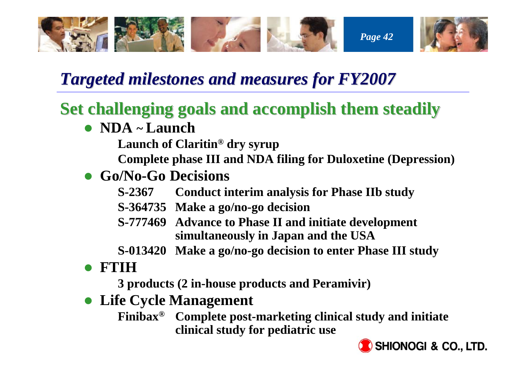

### **Targeted milestones and measures for FY2007**

### **Set challenging goals and accomplish them steadily**

- z **NDA ~ Launch** 
	- **Launch of Claritin® dry syrup**

**Complete phase III and NDA filing for Duloxetine (Depression)**

- z **Go/No-Go Decisions** 
	- **S-2367 Conduct interim analysis for Phase IIb study**
	- **S-364735 Make a go/no-go decision**
	- **S-777469 Advance to Phase II and initiate development simultaneously in Japan and the USA**
	- **S-013420 Make a go/no-go decision to enter Phase III study**
- $\bullet$ **FTIH**

**3 products (2 in-house products and Peramivir)**

**• Life Cycle Management** 

**Finibax® Complete post-marketing clinical study and initiate clinical study for pediatric use**

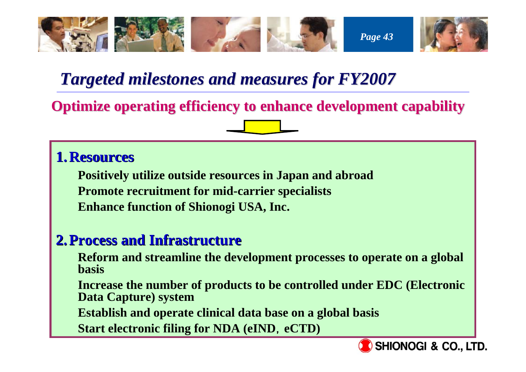

### **Targeted milestones and measures for FY2007**

**Optimize operating efficiency to enhance development capability** 

#### **1.Resources Resources**

**Positively utilize outside resources in Japan and abroad Promote recruitment for mid-carrier specialists Enhance function of Shionogi USA, Inc.** 

#### **2.Process and Infrastructure Process and Infrastructure**

**Reform and streamline the development processes to operate on a global basis** 

**Increase the number of products to be controlled under EDC (Electronic Data Capture) system**

**Establish and operate clinical data base on a global basis**

**Start electronic filing for NDA (eIND**,**eCTD)**

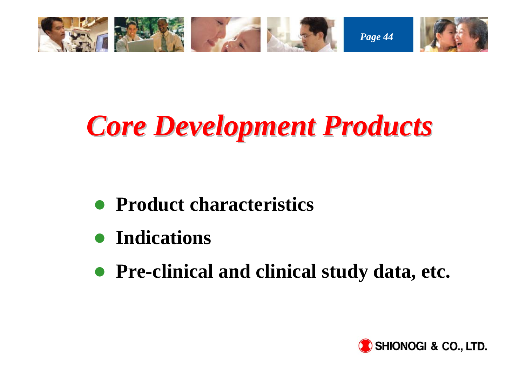

# *Core Development Products Core Development Products*

- $\bullet$ **Product characteristics**
- **•** Indications
- **Pre-clinical and clinical study data, etc.**

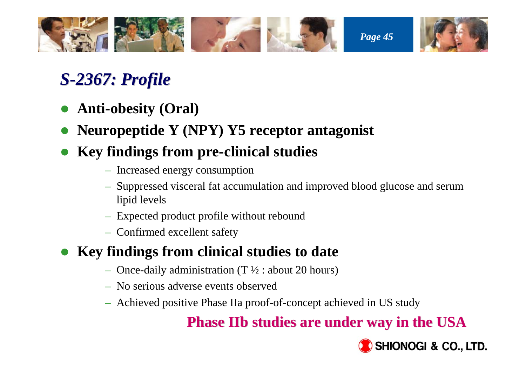

### *S-2367: Profile 2367: Profile*

- $\bullet$ **Anti-obesity (Oral)**
- $\bullet$ **Neuropeptide Y (NPY) Y5 receptor antagonist**
- $\bullet$  **Key findings from pre-clinical studies** 
	- Increased energy consumption
	- Suppressed visceral fat accumulation and improved blood glucose and serum lipid levels
	- Expected product profile without rebound
	- Confirmed excellent safety

#### $\bullet$ **Key findings from clinical studies to date**

- Once-daily administration (T ½ : about 20 hours)
- No serious adverse events observed
- Achieved positive Phase IIa proof-of-concept achieved in US study

### **Phase IIb studies are under way in the USA IIb studies are under way in the USA**

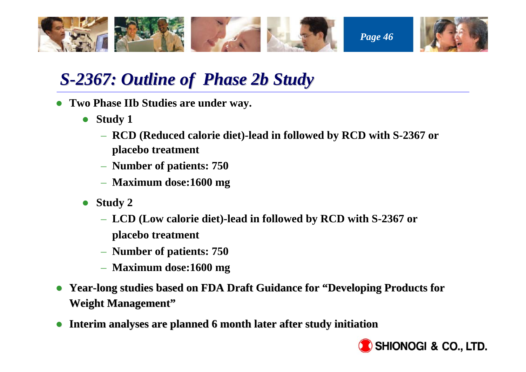

### *S-2367: Outline of 2367: Outline of Phase 2b Study*

- **Two Phase IIb Studies are under way.** 
	- $\bullet$  **Study 1**
		- **RCD (Reduced calorie diet)-lead in followed by RCD with S-2367 or placebo treatment**
		- **Number of patients: 750**
		- **Maximum dose:1600 mg**
	- $\bullet$  **Study 2**
		- **LCD (Low calorie diet)-lead in followed by RCD with S-2367 or placebo treatment**
		- **Number of patients: 750**
		- **Maximum dose:1600 mg**
- O **Year-long studies based on FDA Draft Guidance for "Developing Products for Weight Management"**
- O **Interim analyses are planned 6 month later after study initiation**

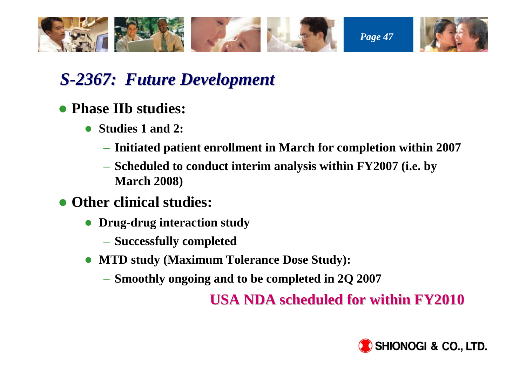

### *S-2367: Future Development : Future Development*

#### **• Phase IIb studies:**

- O **Studies 1 and 2:**
	- **Initiated patient enrollment in March for completion within 2007**
	- **Scheduled to conduct interim analysis within FY2007 (i.e. by March 2008)**
- **Other clinical studies:** 
	- O **Drug-drug interaction study**
		- **Successfully completed**
	- $\bullet$  **MTD study (Maximum Tolerance Dose Study):**
		- **Smoothly ongoing and to be completed in 2Q 2007**

**USA NDA scheduled for within FY2010 USA NDA scheduled for within FY2010**

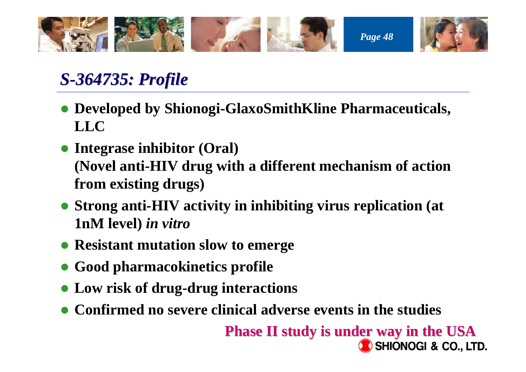

### *S-364735: Profile : Profile*

- **Developed by Shionogi-GlaxoSmithKline Pharmaceuticals, LLC**
- **Integrase inhibitor (Oral) (Novel anti-HIV drug with a different mechanism of action from existing drugs)**
- **Strong anti-HIV activity in inhibiting virus replication (at 1nM level)** *in vitro*
- **Resistant mutation slow to emerge**
- **Good pharmacokinetics profile**
- **Low risk of drug-drug interactions**
- **Confirmed no severe clinical adverse events in the studies**

**Phase II study is under way in the USA Phase II study is under way in the USASHIONOGI & CO., LTD.**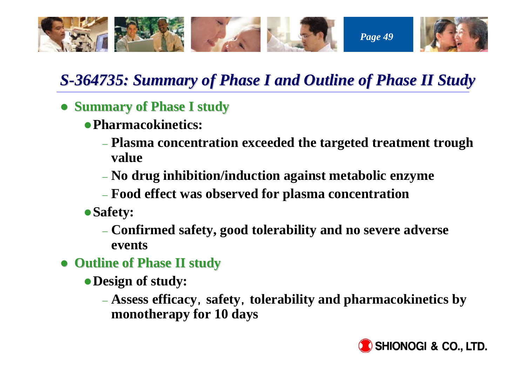

### *S-364735: Summary of Phase I and Outline of Phase II Study*

- **Summary of Phase I study** 
	- z**Pharmacokinetics:**
		- **Plasma concentration exceeded the targeted treatment trough value**
		- **No drug inhibition/induction against metabolic enzyme**
		- **Food effect was observed for plasma concentration**
	- <sup>z</sup>**Safety:**
		- **Confirmed safety, good tolerability and no severe adverse events**
- z **Outline of Outline of Phase II study Phase II study**
	- <sup>z</sup>**Design of study:**
		- **Assess efficacy**,**safety**,**tolerability and pharmacokinetics by monotherapy for 10 days**

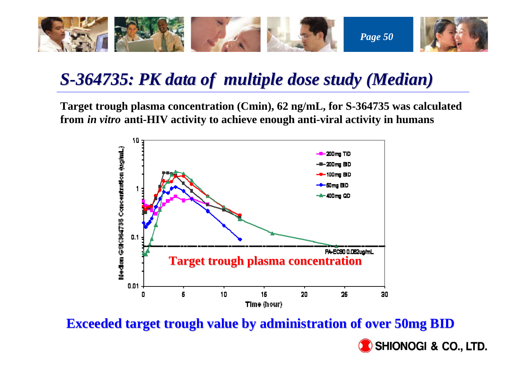

### *S-364735: PK data of multiple dose study (Median)*

**Target trough plasma concentration (Cmin), 62 ng/mL, for S-364735 was calculated from** *in vitro* **anti-HIV activity to achieve enough anti-viral activity in humans** 



**Exceeded target trough value by administration of over 50mg BID** 

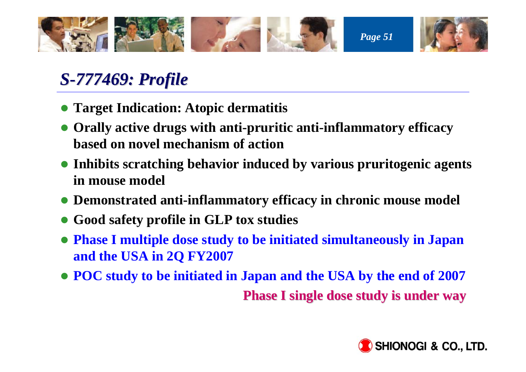

### *S-777469: Profile 777469: Profile*

- **Target Indication: Atopic dermatitis**
- **Orally active drugs with anti-pruritic anti-inflammatory efficacy based on novel mechanism of action**
- **Inhibits scratching behavior induced by various pruritogenic agents in mouse model**
- **Demonstrated anti-inflammatory efficacy in chronic mouse model**
- z **Good safety profile in GLP tox studies**
- z **Phase I multiple dose study to be initiated simultaneously in Japan and the USA in 2Q FY2007**
- **POC** study to be initiated in Japan and the USA by the end of 2007 **Phase I single dose study is under way**

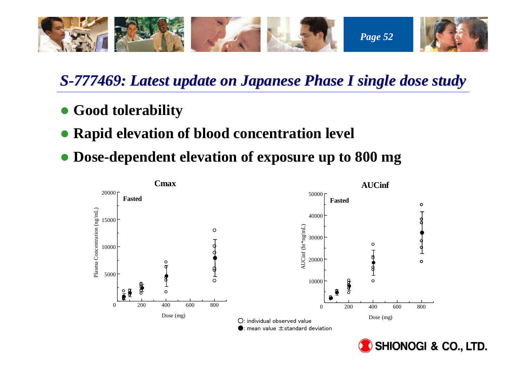

#### *S-777469: Latest update on Japanese Phase I single dose study 777469: Latest update on Japanese Phase I single dose study*

- **Good tolerability**
- **Rapid elevation of blood concentration level**
- **Dose-dependent elevation of exposure up to 800 mg**



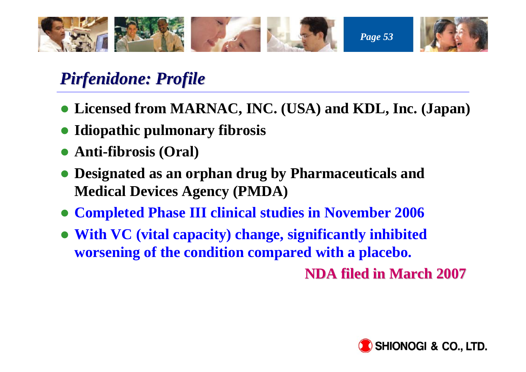

### *Pirfenidone: Profile Pirfenidone: Profile*

- z **Licensed from MARNAC, INC. (USA) and KDL, Inc. (Japan)**
- **Idiopathic pulmonary fibrosis**
- z **Anti-fibrosis (Oral)**
- **Designated as an orphan drug by Pharmaceuticals and Medical Devices Agency (PMDA)**
- z **Completed Phase III clinical studies in November 2006**
- z **With VC (vital capacity) change, significantly inhibited worsening of the condition compared with a placebo.**

**NDA filed in March 2007 NDA filed in March 2007**

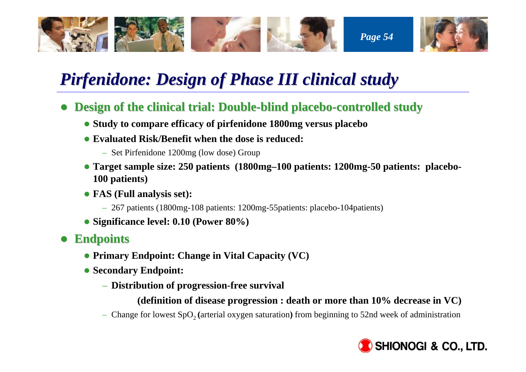

### *Pirfenidone: Design of Pirfenidone: Design of Phase III clinical study III clinical study*

- **Design of the clinical trial: Double-blind placebo-controlled study** 
	- **Study to compare efficacy of pirfenidone 1800mg versus placebo**
	- **Evaluated Risk/Benefit when the dose is reduced:** 
		- Set Pirfenidone 1200mg (low dose) Group
	- z **Target sample size: 250 patients (1800mg–100 patients: 1200mg-50 patients: placebo-100 patients)**
	- z **FAS (Full analysis set):**
		- 267 patients (1800mg-108 patients: 1200mg-55patients: placebo-104patients)
	- z **Significance level: 0.10 (Power 80%)**
- z **Endpoints Endpoints**
	- **Primary Endpoint: Change in Vital Capacity (VC)**
	- **Secondary Endpoint:** 
		- **Distribution of progression-free survival**
			- **(definition of disease progression : death or more than 10% decrease in VC)**
		- Change for lowest SpO<sub>2</sub> (arterial oxygen saturation) from beginning to 52nd week of administration

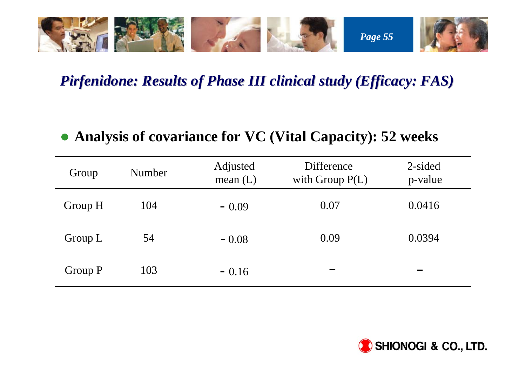

#### *Pirfenidone: Results of Pirfenidone: Results of Phase III clinical s III clinical study (Efficacy: FAS) udy (Efficacy: FAS)*

#### z **Analysis of covariance for VC (Vital Capacity): 52 weeks**

| Group   | Number | Adjusted<br>mean $(L)$ | Difference<br>with Group $P(L)$ | 2-sided<br>p-value |
|---------|--------|------------------------|---------------------------------|--------------------|
| Group H | 104    | $-0.09$                | 0.07                            | 0.0416             |
| Group L | 54     | $-0.08$                | 0.09                            | 0.0394             |
| Group P | 103    | $-0.16$                |                                 |                    |

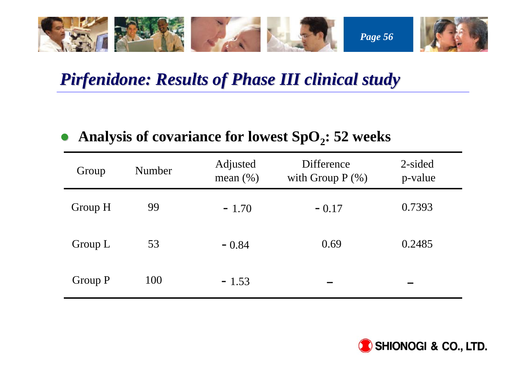

### *Pirfenidone: Results of Pirfenidone: Results of Phase III clinical study III clinical study*

#### $\bullet$ Analysis of covariance for lowest SpO<sub>2</sub>: 52 weeks

| Group   | Number | Adjusted<br>mean $(\% )$ | Difference<br>with Group $P$ $(\%)$ | 2-sided<br>p-value |
|---------|--------|--------------------------|-------------------------------------|--------------------|
| Group H | 99     | $-1.70$                  | $-0.17$                             | 0.7393             |
| Group L | 53     | $-0.84$                  | 0.69                                | 0.2485             |
| Group P | 100    | $-1.53$                  |                                     |                    |

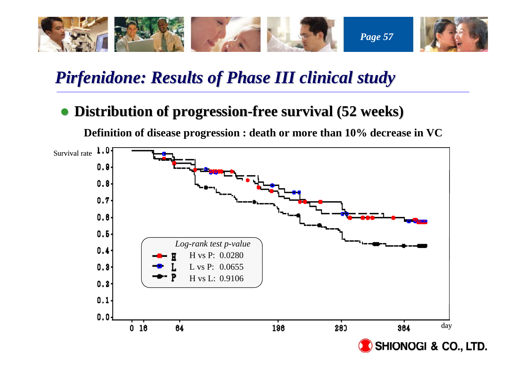

### *Pirfenidone: Results of Pirfenidone: Results of Phase III clinical study III clinical study*

#### **• Distribution of progression-free survival (52 weeks)**

**Definition of disease progression : death or more than 10% decrease in VC**

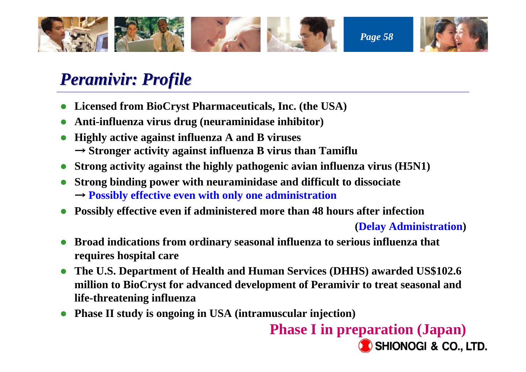

### *Peramivir: Profile Peramivir: Profile*

- **Licensed from BioCryst Pharmaceuticals, Inc. (the USA)**
- $\bullet$ **Anti-influenza virus drug (neuraminidase inhibitor)**
- $\bullet$  **Highly active against influenza A and B viruses** → **Stronger activity against influenza B virus than Tamiflu**
- **•** Strong activity against the highly pathogenic avian influenza virus (H5N1)
- z **Strong binding power with neuraminidase and difficult to dissociate** → **Possibly effective even with only one administration**
- $\bullet$ **Possibly effective even if administered more than 48 hours after infection**

**(Delay Administration)**

- $\bullet$  **Broad indications from ordinary seasonal influenza to serious influenza that requires hospital care**
- $\bullet$  **The U.S. Department of Health and Human Services (DHHS) awarded US\$102.6 million to BioCryst for advanced development of Peramivir to treat seasonal and life-threatening influenza**
- $\bullet$ **Phase II study is ongoing in USA (intramuscular injection)**

**Phase I in preparation (Japan)** SHIONOGI & CO., LTD.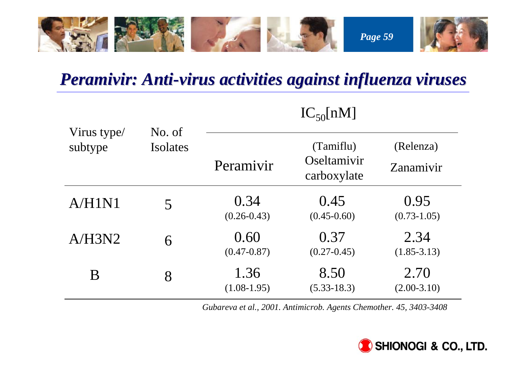

### *Peramivir: Anti Peramivir: Anti-virus activities against influenza viruses virus activities against influenza viruses*

|                        | No. of<br>Isolates | $J$ UL $ J$             |                                         |                         |  |
|------------------------|--------------------|-------------------------|-----------------------------------------|-------------------------|--|
| Virus type/<br>subtype |                    | Peramivir               | (Tamiflu)<br>Oseltamivir<br>carboxylate | (Relenza)<br>Zanamivir  |  |
| A/H1N1                 | 5                  | 0.34<br>$(0.26 - 0.43)$ | 0.45<br>$(0.45 - 0.60)$                 | 0.95<br>$(0.73 - 1.05)$ |  |
| A/H3N2                 | 6                  | 0.60<br>$(0.47 - 0.87)$ | 0.37<br>$(0.27 - 0.45)$                 | 2.34<br>$(1.85 - 3.13)$ |  |
| B                      | 8                  | 1.36<br>$(1.08-1.95)$   | 8.50<br>$(5.33 - 18.3)$                 | 2.70<br>$(2.00-3.10)$   |  |

### $IC_{50}[nM]$

*Gubareva et al., 2001. Antimicrob. Agents Chemother. 45, 3403-3408*

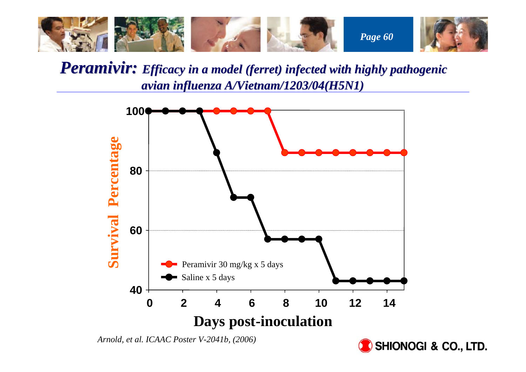

Peramivir: Efficacy in a model (ferret) infected with highly pathogenic *avian influenza A/Vietnam/1203/04(H5N1)* 



*Arnold, et al. ICAAC Poster V-2041b, (2006)*

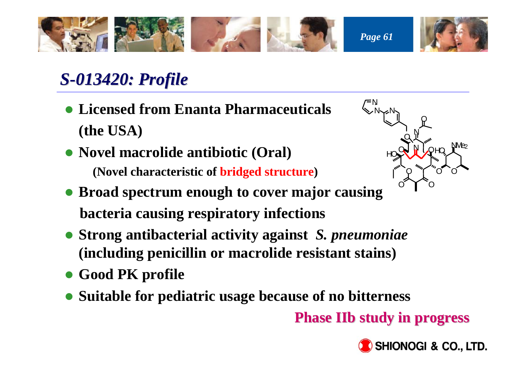

### *S-013420: Profile : Profile*

- z **Licensed from Enanta Pharmaceuticals (the USA)**
- **Novel macrolide antibiotic (Oral) (Novel characteristic of bridged structure)**
- ONOOOO O HO $N$ <sub>/ $2$ </sub> OHONONNvN NO
- **Broad spectrum enough to cover major causing bacteria causing respiratory infections**
- z **Strong antibacterial activity against** *S. pneumoniae* **(including penicillin or macrolide resistant stains)**
- **Good PK profile**
- **Suitable for pediatric usage because of no bitterness**

**Phase IIb study in progress Phase IIb study in progress**

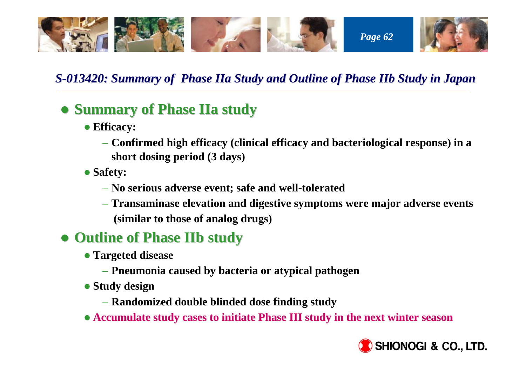

#### *S-013420: Summary of Phase IIa Study and Outline of Phase IIb Study in Japan*

#### $\bullet$  **Summary of Phase IIa study**

- **Efficacy:** 
	- **Confirmed high efficacy (clinical efficacy and bacteriological response) in a short dosing period (3 days)**
- **Safety:** 
	- **No serious adverse event; safe and well-tolerated**
	- **Transaminase elevation and digestive symptoms were major adverse events (similar to those of analog drugs)**

#### z **Outline of Phase IIb study Outline of Phase IIb study**

- **Targeted disease** 
	- **Pneumonia caused by bacteria or atypical pathogen**
- **Study design** 
	- **Randomized double blinded dose finding study**
- $\bullet$  Accumulate study cases to initiate Phase III study in the next winter season

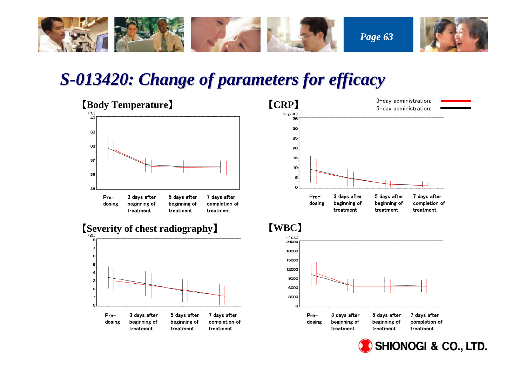

### *S-013420: Change of parameters for efficacy of parameters for efficacy*

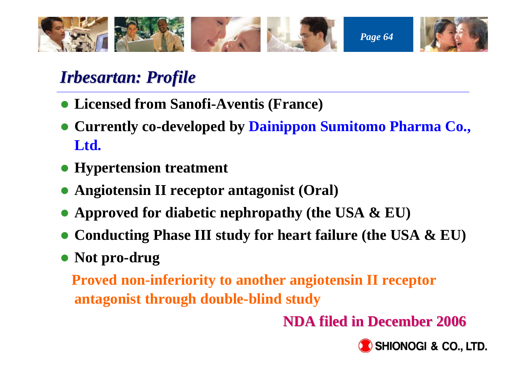

### *Irbesartan: Irbesartan: Profile Profile*

- **Licensed from Sanofi-Aventis (France)**
- z **Currently co-developed by Dainippon Sumitomo Pharma Co., Ltd.**
- **Hypertension treatment**
- **Angiotensin II receptor antagonist (Oral)**
- **Approved for diabetic nephropathy (the USA & EU)**
- **Conducting Phase III study for heart failure (the USA & EU)**
- Not pro-drug

**Proved non-inferiority to another angiotensin II receptor antagonist through double-blind study** 

**NDA filed in December 2006 filed in December 2006**

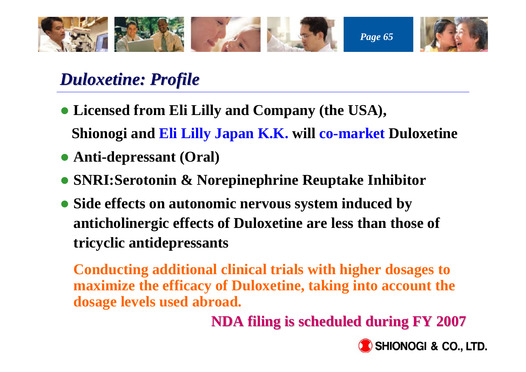

### *Duloxetine: Profile Duloxetine: Profile*

- **Licensed from Eli Lilly and Company (the USA), Shionogi and Eli Lilly Japan K.K. will co-market Duloxetine**
- **Anti-depressant (Oral)**
- z **SNRI:Serotonin & Norepinephrine Reuptake Inhibitor**
- **Side effects on autonomic nervous system induced by anticholinergic effects of Duloxetine are less than those of tricyclic antidepressants**

**Conducting additional clinical trials with higher dosages to maximize the efficacy of Duloxetine, taking into account the dosage levels used abroad.**

**NDA filing is scheduled during NDA filing is scheduled during FY 2007**

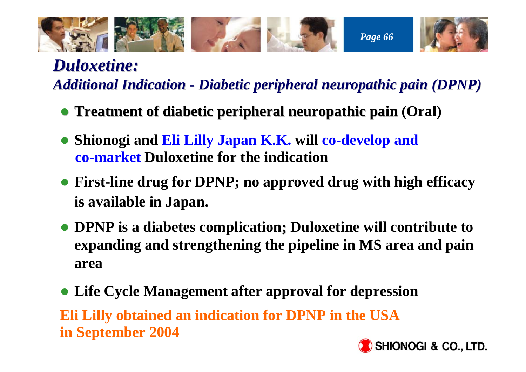

# *Duloxetine: Duloxetine:*

*Additional Indication Additional Indication - Diabetic peripheral neuropathic pain (DPNP) Diabetic peripheral neuropathic pain (DPNP)*

- **Treatment of diabetic peripheral neuropathic pain (Oral)**
- z **Shionogi and Eli Lilly Japan K.K. will co-develop and co-market Duloxetine for the indication**
- **First-line drug for DPNP; no approved drug with high efficacy is available in Japan.**
- z **DPNP is a diabetes complication; Duloxetine will contribute to ; expanding and strengthening the pipeline in MS area and pain area**
- **Life Cycle Management after approval for depression Eli Lilly obtained an indication for DPNP in the USA in September 2004**

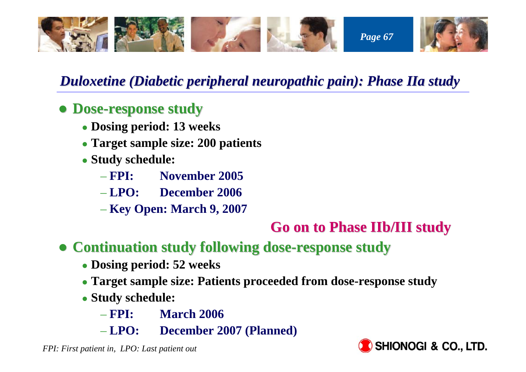

#### *Duloxetine (Diabetic peripheral neuropathic pain): Duloxetine (Diabetic peripheral neuropathic pain): Phase IIa study ase IIa study*

#### z **Dose-response study response study**

- z **Dosing period: 13 weeks**
- z **Target sample size: 200 patients**
- z **Study schedule:**
	- $-$  FPI: **FPI: November 2005**
	- $-\text{LPO:}$ **LPO: December 2006**
	- **Key Open: March 9, 2007**

#### **Go on to P Go on to Phase IIb/III study III study**

#### **• Continuation study following dose-response study**

- z **Dosing period: 52 weeks**
- **Target sample size: Patients proceeded from dose-response study**
- z **Study schedule:** 
	- $-$  FPI: **March 2006**
	- $-LPO:$ **LPO: December 2007 (Planned)**

*FPI: First patient in, LPO: Last patient out*

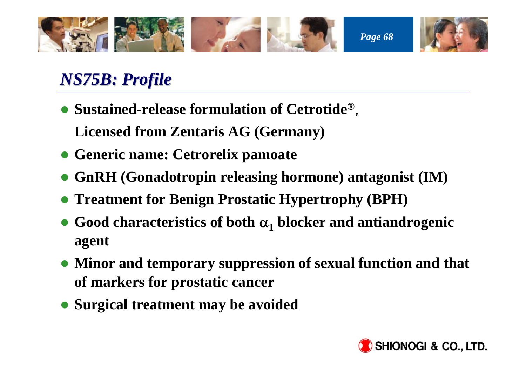

## *NS75B: Profile : Profile*

**• Sustained-release formulation of Cetrotide<sup>®</sup>,** 

**Licensed from Zentaris AG (Germany)**

- z **Generic name: Cetrorelix pamoate**
- z **GnRH (Gonadotropin releasing hormone) antagonist (IM)**
- **Treatment for Benign Prostatic Hypertrophy (BPH)**
- Good characteristics of both  $\alpha_1$  blocker and antiandrogenic **agent**
- Minor and temporary suppression of sexual function and that **of markers for prostatic cancer**
- **Surgical treatment may be avoided**

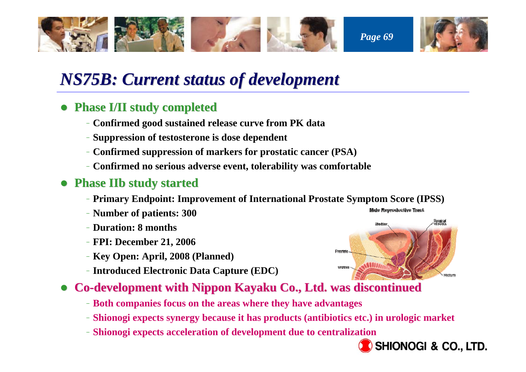

### *NS75B: Current status of development : Current status of development*

- z **Phase I/II study completed study completed**
	- –**Confirmed good sustained release curve from PK data**
	- –**Suppression of testosterone is dose dependent**
	- –**Confirmed suppression of markers for prostatic cancer (PSA)**
	- –**Confirmed no serious adverse event, tolerability was comfortable**
- **Phase IIb study started** 
	- –**Primary Endpoint: Improvement of International Prostate Symptom Score (IPSS)**
	- –**Number of patients: 300**
	- –**Duration: 8 months**
	- –**FPI: December 21, 2006**
	- –**Key Open: April, 2008 (Planned)**
	- –**Introduced Electronic Data Capture (EDC)**
- z**Co-development with Nippon Kayaku Co., Ltd. was discontinued** 
	- –**Both companies focus on the areas where they have advantages**
	- –**Shionogi expects synergy because it has products (antibiotics etc.) in urologic market**
	- –**Shionogi expects acceleration of development due to centralization**





**Male Reproductive Tract**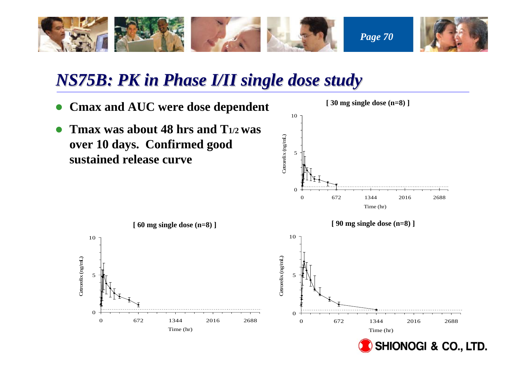

### *NS75B: PK in Phase I/II single dose study : PK in Phase I/II single dose study*

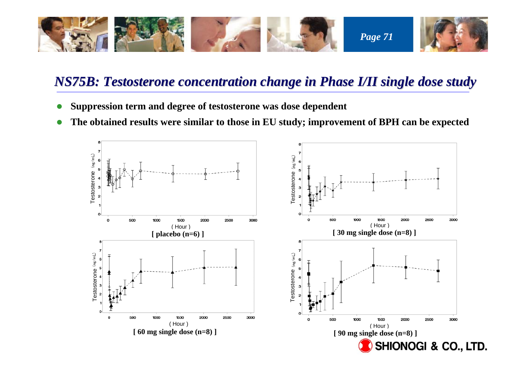

#### *NS75B: Testosterone concentration chan : Testosterone concentration change in Phase I/II single dose st ge in Phase I/II single dose study*

- O **Suppression term and degree of testosterone was dose dependent**
- $\bullet$ **The obtained results were similar to those in EU study; improvement of BPH can be expected**

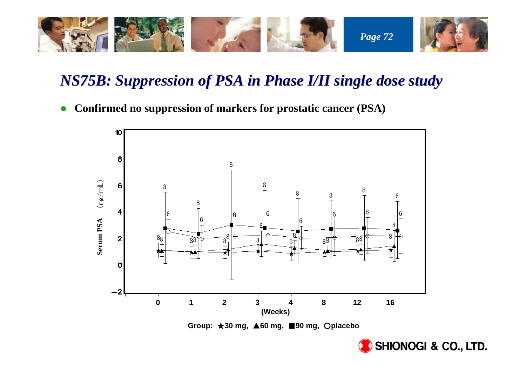

## *NS75B: Suppression of PSA in Phase I/II single dose study*

 $\bullet$ **Confirmed no suppression of markers for prostatic cancer (PSA)**



**Group:** ★**30 mg,** ▲**60 mg,** ■**90 mg,** ○**placebo**

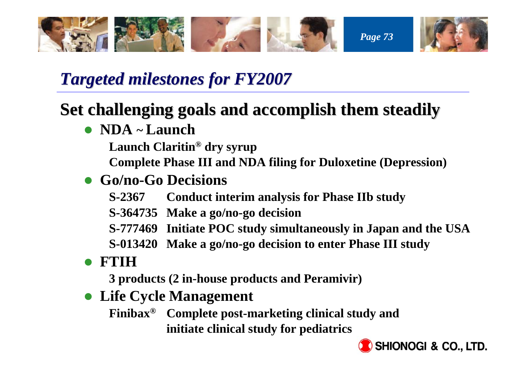

## *Targeted milestone Targeted milestones for FY2007*

## **Set challenging goals and accomplish them steadily**

z **NDA ~ Launch** 

**Launch Claritin® dry syrup**

**Complete Phase III and NDA filing for Duloxetine (Depression)**

## z **Go/no-Go Decisions**

- **S-2367 Conduct interim analysis for Phase IIb study**
- **S-364735 Make a go/no-go decision**
- **S-777469 Initiate POC study simultaneously in Japan and the USA**
- **S-013420 Make a go/no-go decision to enter Phase III study**
- $\bullet$ **FTIH**

**3 products (2 in-house products and Peramivir)**

**• Life Cycle Management** 

**Finibax® Complete post-marketing clinical study and initiate clinical study for pediatrics**